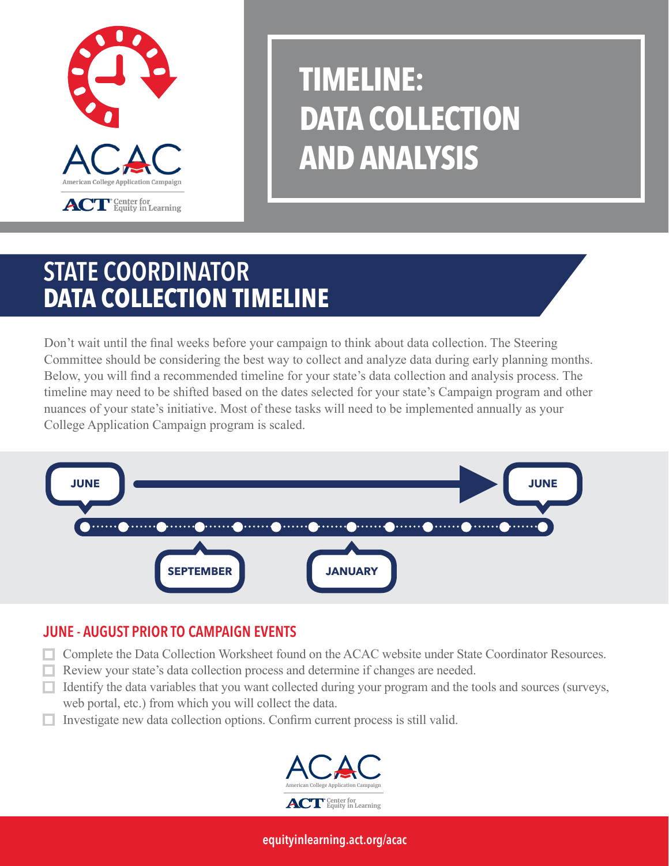

# **TIMELINE: DATA COLLECTION AND ANALYSIS**

## STATE COORDINATOR **DATA COLLECTION TIMELINE**

Don't wait until the final weeks before your campaign to think about data collection. The Steering Committee should be considering the best way to collect and analyze data during early planning months. Below, you will find a recommended timeline for your state's data collection and analysis process. The timeline may need to be shifted based on the dates selected for your state's Campaign program and other nuances of your state's initiative. Most of these tasks will need to be implemented annually as your College Application Campaign program is scaled.



### JUNE - AUGUST PRIOR TO CAMPAIGN EVENTS

- **Complete the Data Collection Worksheet found on the ACAC website under State Coordinator Resources.**
- Review your state's data collection process and determine if changes are needed.
- $\Box$  Identify the data variables that you want collected during your program and the tools and sources (surveys, web portal, etc.) from which you will collect the data.
- $\Box$  Investigate new data collection options. Confirm current process is still valid.



[equityinlearning.act.org/acac](https://equityinlearning.act.org/acac)